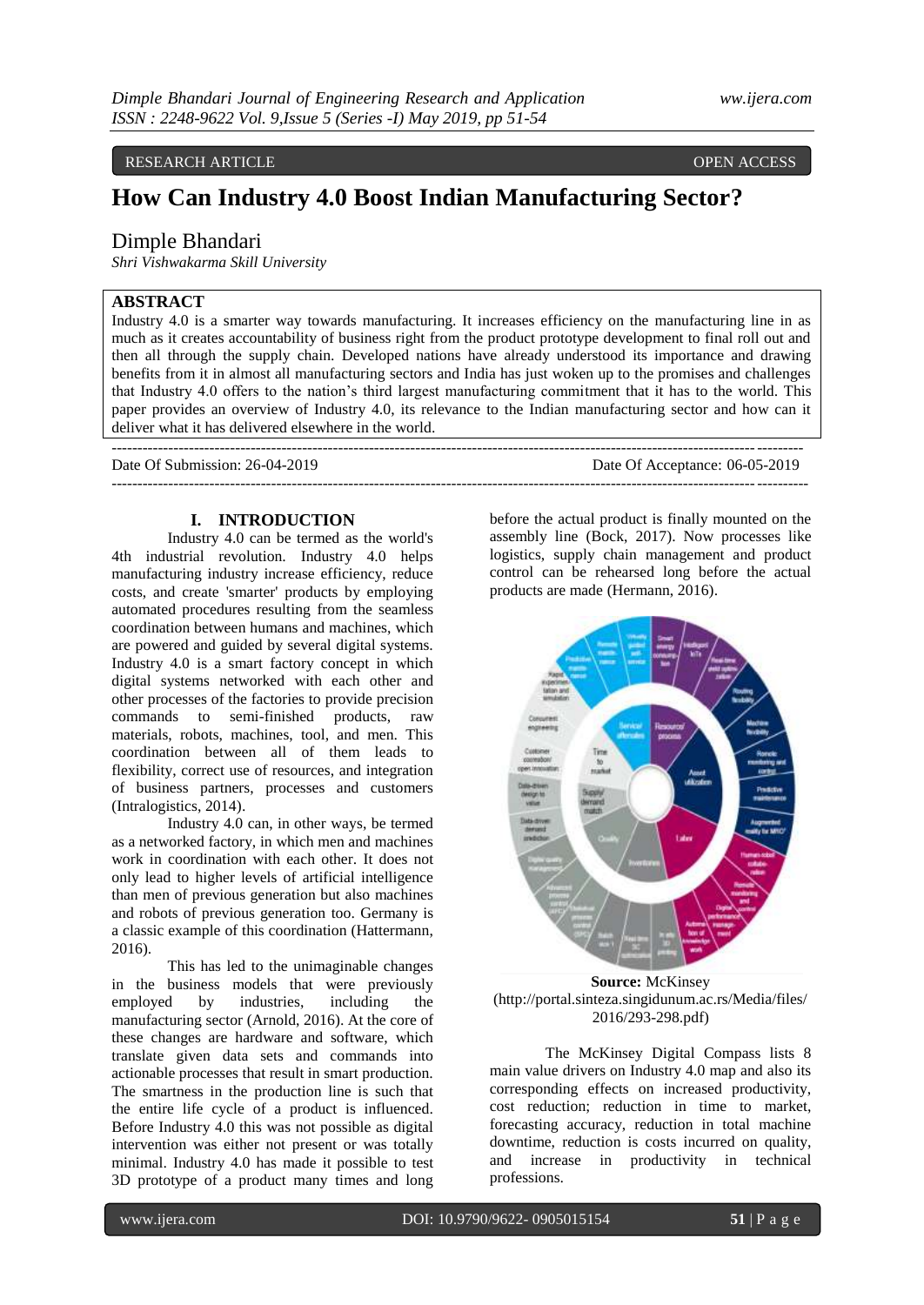# RESEARCH ARTICLE **OPEN ACCESS**

# **How Can Industry 4.0 Boost Indian Manufacturing Sector?**

## Dimple Bhandari

*Shri Vishwakarma Skill University*

# **ABSTRACT**

Industry 4.0 is a smarter way towards manufacturing. It increases efficiency on the manufacturing line in as much as it creates accountability of business right from the product prototype development to final roll out and then all through the supply chain. Developed nations have already understood its importance and drawing benefits from it in almost all manufacturing sectors and India has just woken up to the promises and challenges that Industry 4.0 offers to the nation's third largest manufacturing commitment that it has to the world. This paper provides an overview of Industry 4.0, its relevance to the Indian manufacturing sector and how can it deliver what it has delivered elsewhere in the world.

Date Of Submission: 26-04-2019 Date Of Acceptance: 06-05-2019

---------------------------------------------------------------------------------------------------------------------------------------

#### **I. INTRODUCTION**

--------------------------------------------------------------------------------------------------------------------------------------

Industry 4.0 can be termed as the world's 4th industrial revolution. Industry 4.0 helps manufacturing industry increase efficiency, reduce costs, and create 'smarter' products by employing automated procedures resulting from the seamless coordination between humans and machines, which are powered and guided by several digital systems. Industry 4.0 is a smart factory concept in which digital systems networked with each other and other processes of the factories to provide precision commands to semi-finished products, raw materials, robots, machines, tool, and men. This coordination between all of them leads to flexibility, correct use of resources, and integration of business partners, processes and customers (Intralogistics, 2014).

Industry 4.0 can, in other ways, be termed as a networked factory, in which men and machines work in coordination with each other. It does not only lead to higher levels of artificial intelligence than men of previous generation but also machines and robots of previous generation too. Germany is a classic example of this coordination (Hattermann, 2016).

This has led to the unimaginable changes in the business models that were previously employed by industries, including the manufacturing sector (Arnold, 2016). At the core of these changes are hardware and software, which translate given data sets and commands into actionable processes that result in smart production. The smartness in the production line is such that the entire life cycle of a product is influenced. Before Industry 4.0 this was not possible as digital intervention was either not present or was totally minimal. Industry 4.0 has made it possible to test 3D prototype of a product many times and long

before the actual product is finally mounted on the assembly line (Bock, 2017). Now processes like logistics, supply chain management and product control can be rehearsed long before the actual products are made (Hermann, 2016).



**Source:** McKinsey (http://portal.sinteza.singidunum.ac.rs/Media/files/ 2016/293-298.pdf)

The McKinsey Digital Compass lists 8 main value drivers on Industry 4.0 map and also its corresponding effects on increased productivity, cost reduction; reduction in time to market, forecasting accuracy, reduction in total machine downtime, reduction is costs incurred on quality, and increase in productivity in technical professions.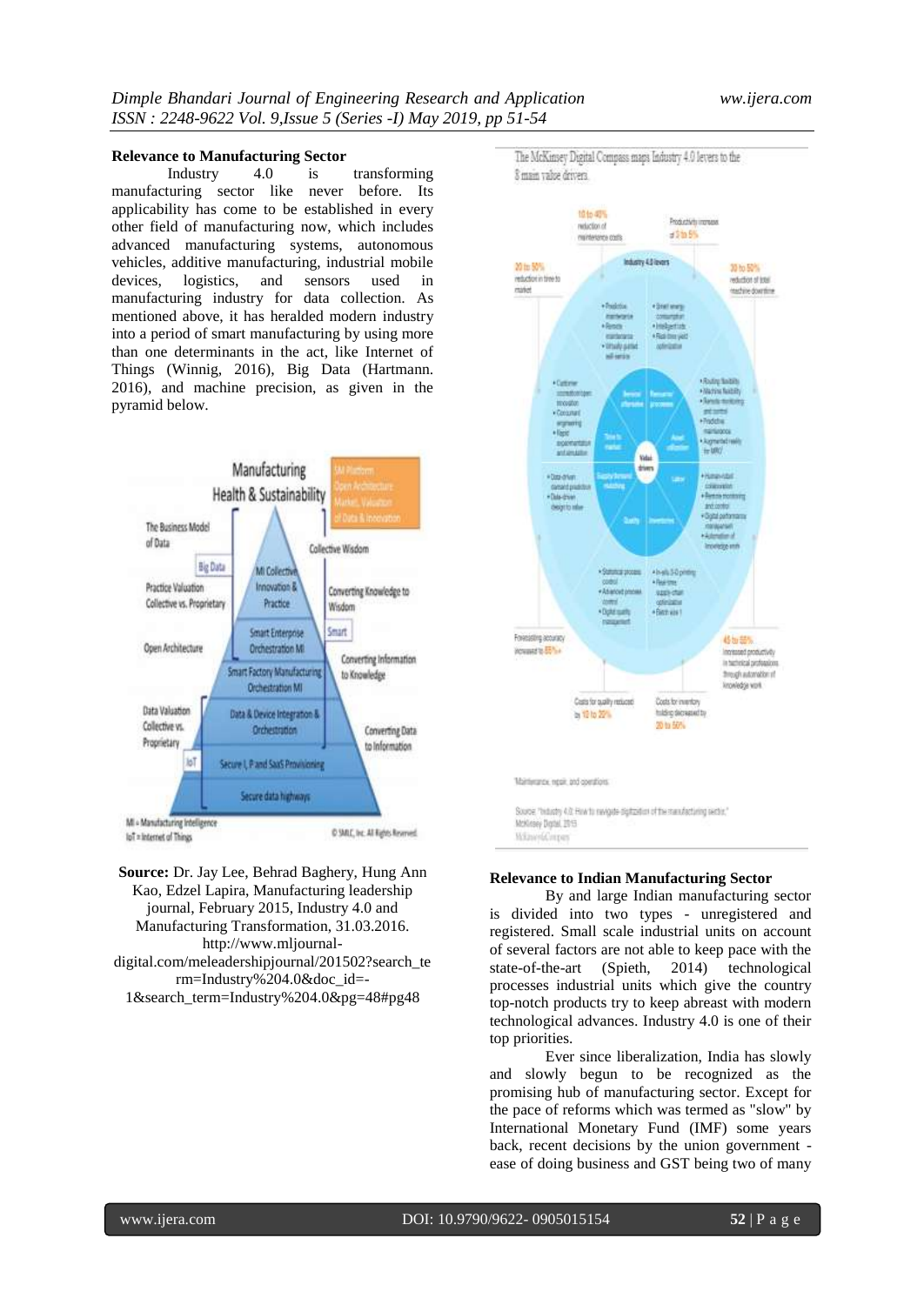#### **Relevance to Manufacturing Sector**

Industry 4.0 is transforming manufacturing sector like never before. Its applicability has come to be established in every other field of manufacturing now, which includes advanced manufacturing systems, autonomous vehicles, additive manufacturing, industrial mobile devices, logistics, and sensors used in manufacturing industry for data collection. As mentioned above, it has heralded modern industry into a period of smart manufacturing by using more than one determinants in the act, like Internet of Things (Winnig, 2016), Big Data (Hartmann. 2016), and machine precision, as given in the pyramid below.



lot = internet of Things

**Source:** Dr. Jay Lee, Behrad Baghery, Hung Ann Kao, Edzel Lapira, Manufacturing leadership journal, February 2015, Industry 4.0 and Manufacturing Transformation, 31.03.2016. http://www.mljournaldigital.com/meleadershipjournal/201502?search\_te rm=Industry%204.0&doc\_id=- 1&search\_term=Industry%204.0&pg=48#pg48

The McKinsey Digital Compass maps Industry 4.0 levers to the 8 main value drivers.



### **Relevance to Indian Manufacturing Sector**

By and large Indian manufacturing sector is divided into two types - unregistered and registered. Small scale industrial units on account of several factors are not able to keep pace with the state-of-the-art (Spieth, 2014) technological processes industrial units which give the country top-notch products try to keep abreast with modern technological advances. Industry 4.0 is one of their top priorities.

Ever since liberalization, India has slowly and slowly begun to be recognized as the promising hub of manufacturing sector. Except for the pace of reforms which was termed as "slow" by International Monetary Fund (IMF) some years back, recent decisions by the union government ease of doing business and GST being two of many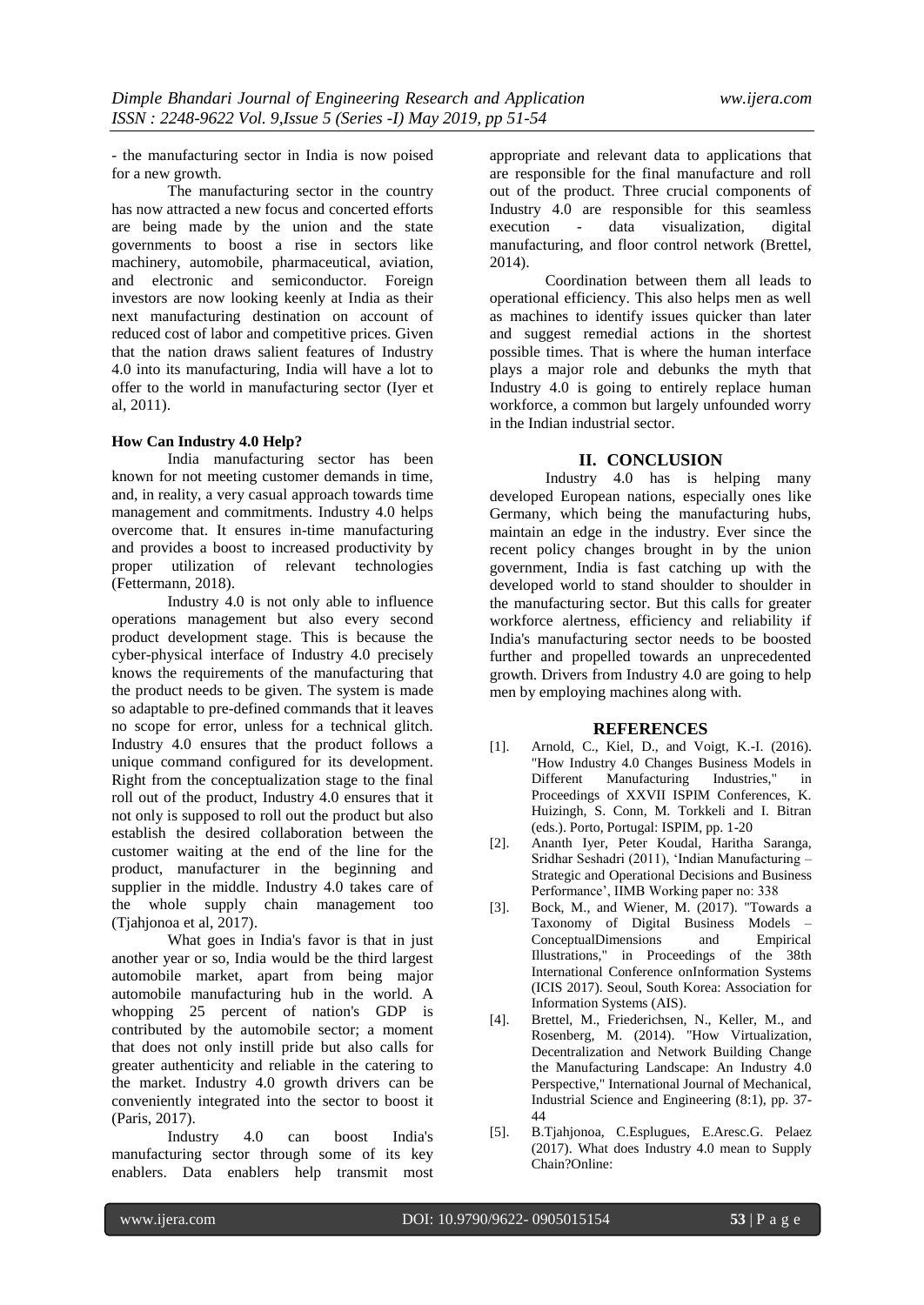- the manufacturing sector in India is now poised for a new growth.

The manufacturing sector in the country has now attracted a new focus and concerted efforts are being made by the union and the state governments to boost a rise in sectors like machinery, automobile, pharmaceutical, aviation, and electronic and semiconductor. Foreign investors are now looking keenly at India as their next manufacturing destination on account of reduced cost of labor and competitive prices. Given that the nation draws salient features of Industry 4.0 into its manufacturing, India will have a lot to offer to the world in manufacturing sector (Iyer et al, 2011).

#### **How Can Industry 4.0 Help?**

India manufacturing sector has been known for not meeting customer demands in time, and, in reality, a very casual approach towards time management and commitments. Industry 4.0 helps overcome that. It ensures in-time manufacturing and provides a boost to increased productivity by proper utilization of relevant technologies (Fettermann, 2018).

Industry 4.0 is not only able to influence operations management but also every second product development stage. This is because the cyber-physical interface of Industry 4.0 precisely knows the requirements of the manufacturing that the product needs to be given. The system is made so adaptable to pre-defined commands that it leaves no scope for error, unless for a technical glitch. Industry 4.0 ensures that the product follows a unique command configured for its development. Right from the conceptualization stage to the final roll out of the product, Industry 4.0 ensures that it not only is supposed to roll out the product but also establish the desired collaboration between the customer waiting at the end of the line for the product, manufacturer in the beginning and supplier in the middle. Industry 4.0 takes care of the whole supply chain management too (Tjahjonoa et al, 2017).

What goes in India's favor is that in just another year or so, India would be the third largest automobile market, apart from being major automobile manufacturing hub in the world. A whopping 25 percent of nation's GDP is contributed by the automobile sector; a moment that does not only instill pride but also calls for greater authenticity and reliable in the catering to the market. Industry 4.0 growth drivers can be conveniently integrated into the sector to boost it (Paris, 2017).

Industry 4.0 can boost India's manufacturing sector through some of its key enablers. Data enablers help transmit most appropriate and relevant data to applications that are responsible for the final manufacture and roll out of the product. Three crucial components of Industry 4.0 are responsible for this seamless execution - data visualization, digital manufacturing, and floor control network (Brettel, 2014).

Coordination between them all leads to operational efficiency. This also helps men as well as machines to identify issues quicker than later and suggest remedial actions in the shortest possible times. That is where the human interface plays a major role and debunks the myth that Industry 4.0 is going to entirely replace human workforce, a common but largely unfounded worry in the Indian industrial sector.

# **II. CONCLUSION**

Industry 4.0 has is helping many developed European nations, especially ones like Germany, which being the manufacturing hubs, maintain an edge in the industry. Ever since the recent policy changes brought in by the union government, India is fast catching up with the developed world to stand shoulder to shoulder in the manufacturing sector. But this calls for greater workforce alertness, efficiency and reliability if India's manufacturing sector needs to be boosted further and propelled towards an unprecedented growth. Drivers from Industry 4.0 are going to help men by employing machines along with.

#### **REFERENCES**

- [1]. Arnold, C., Kiel, D., and Voigt, K.-I. (2016). "How Industry 4.0 Changes Business Models in Different Manufacturing Industries," in Proceedings of XXVII ISPIM Conferences, K. Huizingh, S. Conn, M. Torkkeli and I. Bitran (eds.). Porto, Portugal: ISPIM, pp. 1-20
- [2]. Ananth Iyer, Peter Koudal, Haritha Saranga, Sridhar Seshadri (2011), 'Indian Manufacturing – Strategic and Operational Decisions and Business Performance', IIMB Working paper no: 338
- [3]. Bock, M., and Wiener, M. (2017). "Towards a Taxonomy of Digital Business Models –<br>ConceptualDimensions and Empirical ConceptualDimensions Illustrations," in Proceedings of the 38th International Conference onInformation Systems (ICIS 2017). Seoul, South Korea: Association for Information Systems (AIS).
- [4]. Brettel, M., Friederichsen, N., Keller, M., and Rosenberg, M. (2014). "How Virtualization, Decentralization and Network Building Change the Manufacturing Landscape: An Industry 4.0 Perspective," International Journal of Mechanical, Industrial Science and Engineering (8:1), pp. 37- 44
- [5]. B.Tjahjonoa, C.Esplugues, E.Aresc.G. Pelaez (2017). What does Industry 4.0 mean to Supply Chain?Online: